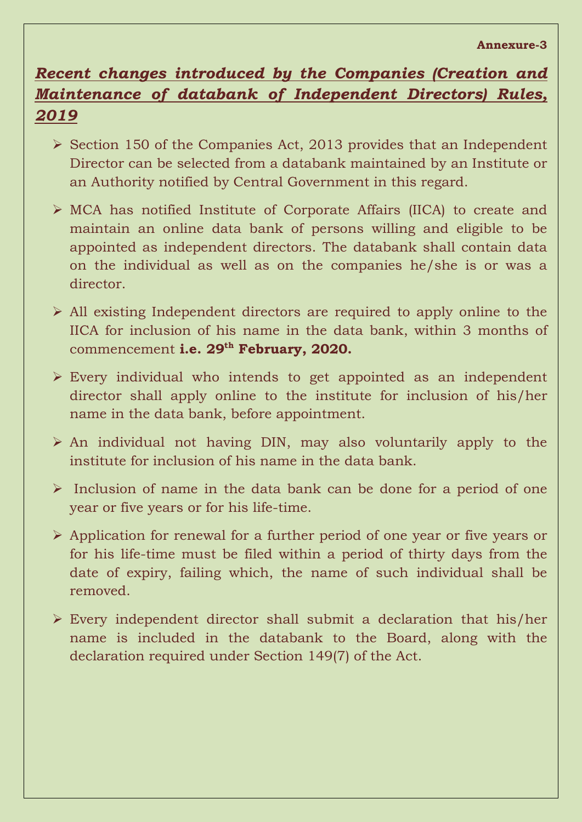## *Recent changes introduced by the Companies (Creation and Maintenance of databank of Independent Directors) Rules, 2019*

- $\triangleright$  Section 150 of the Companies Act, 2013 provides that an Independent Director can be selected from a databank maintained by an Institute or an Authority notified by Central Government in this regard.
- $\triangleright$  MCA has notified Institute of Corporate Affairs (IICA) to create and maintain an online data bank of persons willing and eligible to be appointed as independent directors. The databank shall contain data on the individual as well as on the companies he/she is or was a director.
- All existing Independent directors are required to apply online to the IICA for inclusion of his name in the data bank, within 3 months of commencement **i.e. 29th February, 2020.**
- $\triangleright$  Every individual who intends to get appointed as an independent director shall apply online to the institute for inclusion of his/her name in the data bank, before appointment.
- $\triangleright$  An individual not having DIN, may also voluntarily apply to the institute for inclusion of his name in the data bank.
- $\triangleright$  Inclusion of name in the data bank can be done for a period of one year or five years or for his life-time.
- Application for renewal for a further period of one year or five years or for his life-time must be filed within a period of thirty days from the date of expiry, failing which, the name of such individual shall be removed.
- $\triangleright$  Every independent director shall submit a declaration that his/her name is included in the databank to the Board, along with the declaration required under Section 149(7) of the Act.